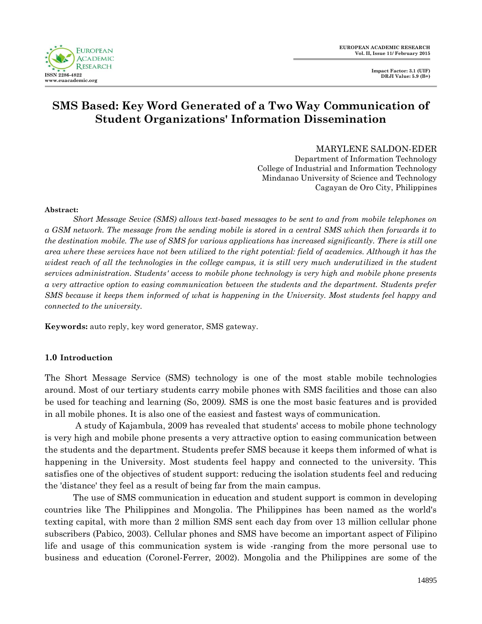

# **SMS Based: Key Word Generated of a Two Way Communication of Student Organizations' Information Dissemination**

### MARYLENE SALDON-EDER

Department of Information Technology College of Industrial and Information Technology Mindanao University of Science and Technology Cagayan de Oro City, Philippines

#### **Abstract:**

*Short Message Sevice (SMS) allows text-based messages to be sent to and from mobile telephones on a GSM network. The message from the sending mobile is stored in a central SMS which then forwards it to the destination mobile. The use of SMS for various applications has increased significantly. There is still one area where these services have not been utilized to the right potential: field of academics. Although it has the widest reach of all the technologies in the college campus, it is still very much underutilized in the student services administration. Students' access to mobile phone technology is very high and mobile phone presents a very attractive option to easing communication between the students and the department. Students prefer SMS because it keeps them informed of what is happening in the University. Most students feel happy and connected to the university.*

**Keywords:** auto reply, key word generator, SMS gateway.

### **1.0 Introduction**

The Short Message Service (SMS) technology is one of the most stable mobile technologies around. Most of our tertiary students carry mobile phones with SMS facilities and those can also be used for teaching and learning (So, 2009*).* SMS is one the most basic features and is provided in all mobile phones. It is also one of the easiest and fastest ways of communication.

A study of Kajambula, 2009 has revealed that students' access to mobile phone technology is very high and mobile phone presents a very attractive option to easing communication between the students and the department. Students prefer SMS because it keeps them informed of what is happening in the University. Most students feel happy and connected to the university. This satisfies one of the objectives of student support: reducing the isolation students feel and reducing the 'distance' they feel as a result of being far from the main campus.

The use of SMS communication in education and student support is common in developing countries like The Philippines and Mongolia. The Philippines has been named as the world's texting capital, with more than 2 million SMS sent each day from over 13 million cellular phone subscribers (Pabico, 2003). Cellular phones and SMS have become an important aspect of Filipino life and usage of this communication system is wide -ranging from the more personal use to business and education (Coronel-Ferrer, 2002). Mongolia and the Philippines are some of the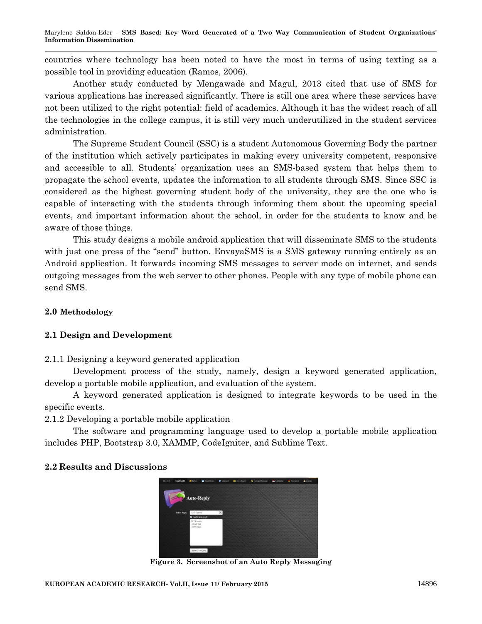Marylene Saldon-Eder *-* **SMS Based: Key Word Generated of a Two Way Communication of Student Organizations' Information Dissemination**

countries where technology has been noted to have the most in terms of using texting as a possible tool in providing education (Ramos, 2006).

Another study conducted by Mengawade and Magul, 2013 cited that use of SMS for various applications has increased significantly. There is still one area where these services have not been utilized to the right potential: field of academics. Although it has the widest reach of all the technologies in the college campus, it is still very much underutilized in the student services administration.

The Supreme Student Council (SSC) is a student Autonomous Governing Body the partner of the institution which actively participates in making every university competent, responsive and accessible to all. Students' organization uses an SMS-based system that helps them to propagate the school events, updates the information to all students through SMS. Since SSC is considered as the highest governing student body of the university, they are the one who is capable of interacting with the students through informing them about the upcoming special events, and important information about the school, in order for the students to know and be aware of those things.

This study designs a mobile android application that will disseminate SMS to the students with just one press of the "send" button. EnvayaSMS is a SMS gateway running entirely as an Android application. It forwards incoming SMS messages to server mode on internet, and sends outgoing messages from the web server to other phones. People with any type of mobile phone can send SMS.

# **2.0 Methodology**

### **2.1 Design and Development**

### 2.1.1 Designing a keyword generated application

Development process of the study, namely, design a keyword generated application, develop a portable mobile application, and evaluation of the system.

A keyword generated application is designed to integrate keywords to be used in the specific events.

2.1.2 Developing a portable mobile application

The software and programming language used to develop a portable mobile application includes PHP, Bootstrap 3.0, XAMMP, CodeIgniter, and Sublime Text.

### **2.2 Results and Discussions**



**Figure 3. Screenshot of an Auto Reply Messaging**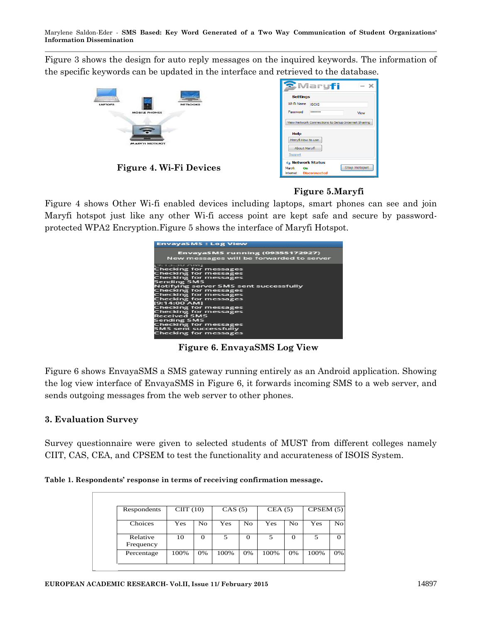Marylene Saldon-Eder *-* **SMS Based: Key Word Generated of a Two Way Communication of Student Organizations' Information Dissemination**

Figure 3 shows the design for auto reply messages on the inquired keywords. The information of the specific keywords can be updated in the interface and retrieved to the database.



**Figure 4. Wi-Fi Devices**

|                                                    | Mary <mark>fi</mark>  | $\overline{\phantom{a}}$ |  |  |  |  |  |  |  |
|----------------------------------------------------|-----------------------|--------------------------|--|--|--|--|--|--|--|
| <b>Settings</b>                                    |                       |                          |  |  |  |  |  |  |  |
| Wi-Fi Name                                         | <b>ISOIS</b>          |                          |  |  |  |  |  |  |  |
| Password                                           |                       | View                     |  |  |  |  |  |  |  |
| View Network Connections to Setup Internet Sharing |                       |                          |  |  |  |  |  |  |  |
| <b>Help</b>                                        |                       |                          |  |  |  |  |  |  |  |
| Maryfi How to use                                  |                       |                          |  |  |  |  |  |  |  |
| <b>About Maryfi</b>                                |                       |                          |  |  |  |  |  |  |  |
| Support                                            |                       |                          |  |  |  |  |  |  |  |
| <b><i>I</i></b> Network Status                     |                       |                          |  |  |  |  |  |  |  |
| Maryfi:<br>On                                      |                       | <b>Stop Hotspot</b>      |  |  |  |  |  |  |  |
|                                                    | Intemet: Disconnected |                          |  |  |  |  |  |  |  |

# **Figure 5.Maryfi**

Figure 4 shows Other Wi-fi enabled devices including laptops, smart phones can see and join Maryfi hotspot just like any other Wi-fi access point are kept safe and secure by passwordprotected WPA2 Encryption.Figure 5 shows the interface of Maryfi Hotspot.

| <b>EnvayaSMS: Log View</b>                                                                                                                                                                                                                                                                                                                                                                                                                                              |
|-------------------------------------------------------------------------------------------------------------------------------------------------------------------------------------------------------------------------------------------------------------------------------------------------------------------------------------------------------------------------------------------------------------------------------------------------------------------------|
| <b>EnvayaSMS running (09355172927)</b><br>New messages will be forwarded to server                                                                                                                                                                                                                                                                                                                                                                                      |
| <b>BUILDIOU ANNI</b><br><b>Checking for messages</b><br><b>Checking for messages</b><br><b>Checking for messages</b><br>Sending SMS<br><b>Notifying server SMS sent successfully</b><br><b>Checking for messages</b><br>Checking for messages<br><b>Checking for messages</b><br>[9:14:00 AM]<br><b>Checking for messages</b><br>Checking for messages<br><b>Received SMS</b><br>Sending SMS<br>Checking for messages<br>SMS sent successfully<br>Checking for messages |
|                                                                                                                                                                                                                                                                                                                                                                                                                                                                         |

**Figure 6. EnvayaSMS Log View**

Figure 6 shows EnvayaSMS a SMS gateway running entirely as an Android application. Showing the log view interface of EnvayaSMS in Figure 6, it forwards incoming SMS to a web server, and sends outgoing messages from the web server to other phones.

# **3. Evaluation Survey**

Survey questionnaire were given to selected students of MUST from different colleges namely CIIT, CAS, CEA, and CPSEM to test the functionality and accurateness of ISOIS System.

**Table 1. Respondents' response in terms of receiving confirmation message.**

|                       |      | $CIII$ (10)        |      |          |      | CAS(5)             |      | CEA(5)         |  | CPSEM $(5)$ |  |
|-----------------------|------|--------------------|------|----------|------|--------------------|------|----------------|--|-------------|--|
| Choices               | Yes  | $\overline{N}_{O}$ | Yes  | No       | Yes  | $\overline{N_{O}}$ | Yes  | N <sub>O</sub> |  |             |  |
| Relative<br>Frequency | 10   | $\mathbf{O}$       | 5    | $\Omega$ | 5    | $\Omega$           | 5    | $\theta$       |  |             |  |
| Percentage            | 100% | 0%                 | 100% | 0%       | 100% | 0%                 | 100% | 0%             |  |             |  |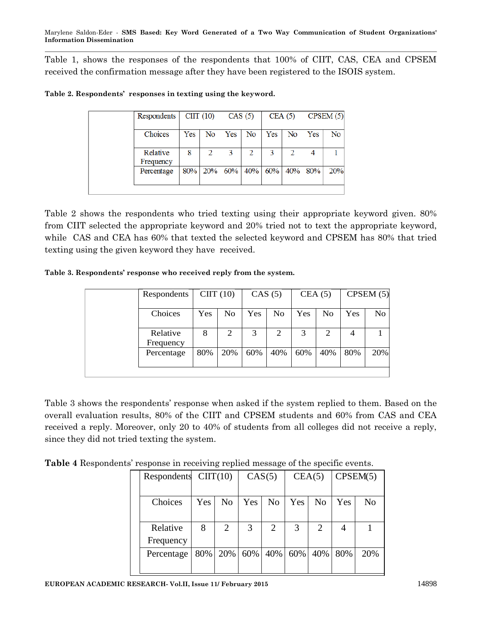Table 1, shows the responses of the respondents that 100% of CIIT, CAS, CEA and CPSEM received the confirmation message after they have been registered to the ISOIS system.

| Respondents           | $ClIT (10)$ CAS $(5)$ |                                |     |    |     |    | $CEA(5)$ $CPSEM(5)$ |     |
|-----------------------|-----------------------|--------------------------------|-----|----|-----|----|---------------------|-----|
| Choices               | Yes                   | No                             | Yes | No | Yes | No | Yes                 | No  |
| Relative<br>Frequency | 8                     |                                | 3   |    | 3   |    |                     |     |
| Percentage            |                       | $80\%$ 20% 60% 40% 60% 40% 80% |     |    |     |    |                     | 20% |
|                       |                       |                                |     |    |     |    |                     |     |

Table 2 shows the respondents who tried texting using their appropriate keyword given. 80% from CIIT selected the appropriate keyword and 20% tried not to text the appropriate keyword, while CAS and CEA has 60% that texted the selected keyword and CPSEM has 80% that tried texting using the given keyword they have received.

**Table 3. Respondents' response who received reply from the system.**

| Respondents           | ClIT(10) |                | CAS(5) |                | CEA(5) |     | CPSEM $(5)$ |     |
|-----------------------|----------|----------------|--------|----------------|--------|-----|-------------|-----|
| Choices               | Yes      | N <sub>o</sub> | Yes    | N <sub>0</sub> | Yes    | No  | Yes         | No  |
| Relative<br>Frequency | 8        | 2              | 3      | 2              | 3      | 2   | 4           |     |
| Percentage            | 80%      | 20%            | 60%    | 40%            | 60%    | 40% | 80%         | 20% |
|                       |          |                |        |                |        |     |             |     |

Table 3 shows the respondents' response when asked if the system replied to them. Based on the overall evaluation results, 80% of the CIIT and CPSEM students and 60% from CAS and CEA received a reply. Moreover, only 20 to 40% of students from all colleges did not receive a reply, since they did not tried texting the system.

**Table 4** Respondents' response in receiving replied message of the specific events.

| Respondents $ClIT(10)$ |     |                | CAS(5) |     |     | CEA(5)         | CPSEM(5) |     |  |
|------------------------|-----|----------------|--------|-----|-----|----------------|----------|-----|--|
|                        |     |                |        |     |     |                |          |     |  |
| Choices                | Yes | N <sub>0</sub> | Yes    | No  | Yes | N <sub>0</sub> | Yes      | No  |  |
|                        |     |                |        |     |     |                |          |     |  |
| Relative               | 8   | 2              | 3      | 2   | 3   | 2              | 4        |     |  |
| Frequency              |     |                |        |     |     |                |          |     |  |
| Percentage             | 80% | 20%            | 60%    | 40% | 60% | 40%            | 80%      | 20% |  |
|                        |     |                |        |     |     |                |          |     |  |